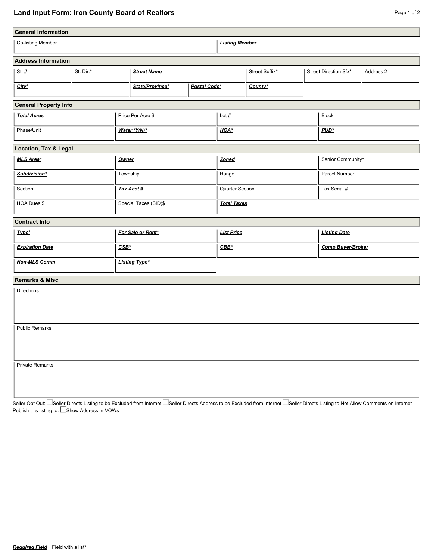## **Land Input Form: Iron County Board of Realtors Page 1 of 2** Page 1 of 2

| <b>General Information</b>        |  |                                 |              |                    |                       |                     |                          |                   |  |  |  |  |
|-----------------------------------|--|---------------------------------|--------------|--------------------|-----------------------|---------------------|--------------------------|-------------------|--|--|--|--|
| Co-listing Member                 |  |                                 |              |                    | <b>Listing Member</b> |                     |                          |                   |  |  |  |  |
| <b>Address Information</b>        |  |                                 |              |                    |                       |                     |                          |                   |  |  |  |  |
| St. $#$<br>St. Dir.*              |  | <b>Street Name</b>              |              | Street Suffix*     |                       |                     | Street Direction Sfx*    | Address 2         |  |  |  |  |
| $City^*$                          |  | State/Province*<br>Postal Code* |              | County*            |                       |                     |                          |                   |  |  |  |  |
| <b>General Property Info</b>      |  |                                 |              |                    |                       |                     |                          |                   |  |  |  |  |
| <b>Total Acres</b>                |  | Price Per Acre \$               |              | Lot $#$            |                       |                     | <b>Block</b>             |                   |  |  |  |  |
| Phase/Unit                        |  |                                 | Water (Y/N)* |                    | HOA*                  |                     |                          | PUD*              |  |  |  |  |
| Location, Tax & Legal             |  |                                 |              |                    |                       |                     |                          |                   |  |  |  |  |
| MLS Area*                         |  | Owner                           |              |                    | Zoned                 |                     |                          | Senior Community* |  |  |  |  |
| Subdivision*                      |  |                                 | Township     |                    | Range                 |                     |                          | Parcel Number     |  |  |  |  |
| Section                           |  | Tax Acct #                      |              | Quarter Section    |                       |                     | Tax Serial #             |                   |  |  |  |  |
| HOA Dues \$                       |  | Special Taxes (SID)\$           |              | <b>Total Taxes</b> |                       |                     |                          |                   |  |  |  |  |
| <b>Contract Info</b>              |  |                                 |              |                    |                       |                     |                          |                   |  |  |  |  |
| Type*                             |  | For Sale or Rent*               |              | <b>List Price</b>  |                       | <b>Listing Date</b> |                          |                   |  |  |  |  |
| $CSB^*$<br><b>Expiration Date</b> |  |                                 |              | $CBB*$             |                       |                     | <b>Comp Buyer/Broker</b> |                   |  |  |  |  |
| <b>Non-MLS Comm</b>               |  | <b>Listing Type*</b>            |              |                    |                       |                     |                          |                   |  |  |  |  |
| <b>Remarks &amp; Misc</b>         |  |                                 |              |                    |                       |                     |                          |                   |  |  |  |  |
| Directions                        |  |                                 |              |                    |                       |                     |                          |                   |  |  |  |  |
| <b>Public Remarks</b>             |  |                                 |              |                    |                       |                     |                          |                   |  |  |  |  |
| <b>Private Remarks</b>            |  |                                 |              |                    |                       |                     |                          |                   |  |  |  |  |

Seller Opt Out: └─Seller Directs Listing to be Excluded from Internet └─Seller Directs Address to be Excluded from Internet └─Seller Directs Listing to Not Allow Comments on Internet Publish this listing to: Lashow Address in VOWs